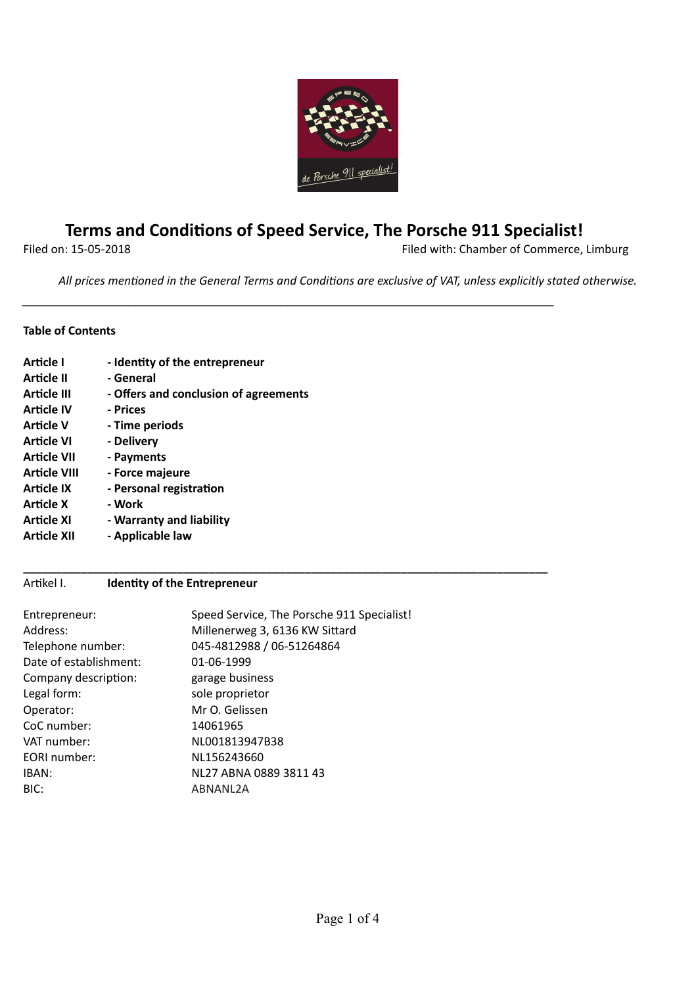

# **Terms and Condions of Speed Service, The Porsche 911 Specialist!**

*\_\_\_\_\_\_\_\_\_\_\_\_\_\_\_\_\_\_\_\_\_\_\_\_\_\_\_\_\_\_\_\_\_\_\_\_\_\_\_\_\_\_\_\_\_\_\_\_\_\_\_\_\_\_\_\_\_\_\_\_\_\_\_\_\_\_\_\_\_\_*

**\_\_\_\_\_\_\_\_\_\_\_\_\_\_\_\_\_\_\_\_\_\_\_\_\_\_\_\_\_\_\_\_\_\_\_\_\_\_\_\_\_\_\_\_\_\_\_\_\_\_\_\_\_\_\_\_\_\_\_\_\_\_\_\_\_\_\_\_\_\_\_\_\_\_\_\_\_\_\_\_\_\_**

Filed on: 15-05-2018 Filed with: Chamber of Commerce, Limburg

*All* prices mentioned in the General Terms and Conditions are exclusive of VAT, unless explicitly stated otherwise.

## **Table of Contents**

| Article I           | - Identity of the entrepreneur        |
|---------------------|---------------------------------------|
| Article II          | - General                             |
| Article III         | - Offers and conclusion of agreements |
| <b>Article IV</b>   | - Prices                              |
| Article V           | - Time periods                        |
| Article VI          | - Delivery                            |
| <b>Article VII</b>  | - Payments                            |
| <b>Article VIII</b> | - Force majeure                       |
| <b>Article IX</b>   | - Personal registration               |
| <b>Article X</b>    | - Work                                |
| <b>Article XI</b>   | - Warranty and liability              |
| Article XII         | - Applicable law                      |

# Artikel I. **Identity of the Entrepreneur**

| Entrepreneur:          | Speed Service, The Porsche 911 Specialist! |
|------------------------|--------------------------------------------|
| Address:               | Millenerweg 3, 6136 KW Sittard             |
| Telephone number:      | 045-4812988 / 06-51264864                  |
| Date of establishment: | 01-06-1999                                 |
| Company description:   | garage business                            |
| Legal form:            | sole proprietor                            |
| Operator:              | Mr O. Gelissen                             |
| CoC number:            | 14061965                                   |
| VAT number:            | NL001813947B38                             |
| EORI number:           | NL156243660                                |
| IBAN:                  | NL27 ABNA 0889 3811 43                     |
| BIC:                   | ABNANL2A                                   |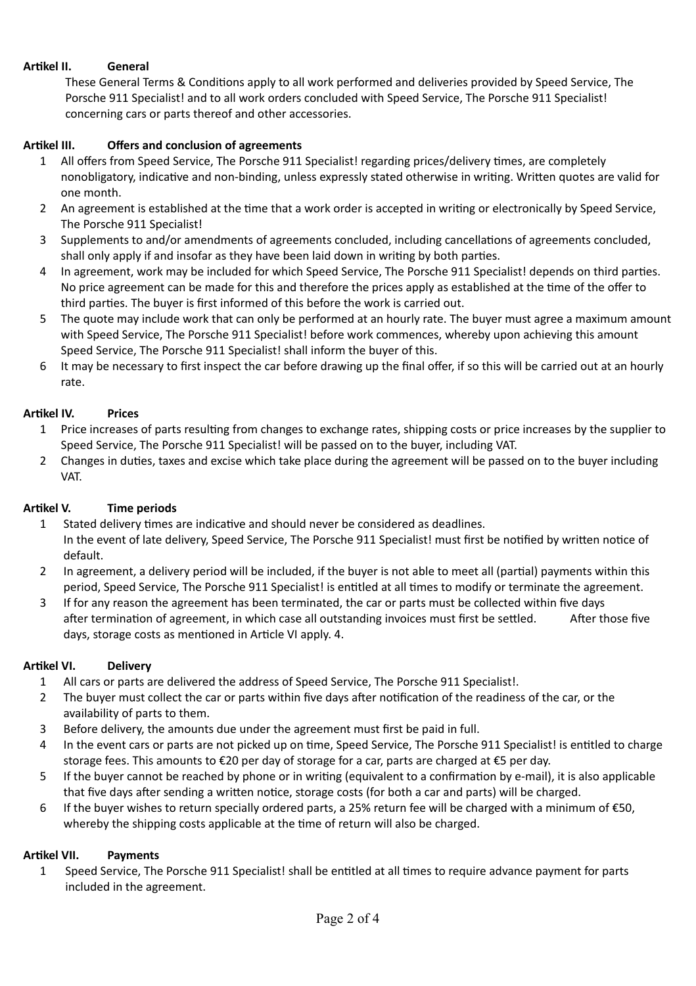## **Arkel II. General**

These General Terms & Conditions apply to all work performed and deliveries provided by Speed Service, The Porsche 911 Specialist! and to all work orders concluded with Speed Service, The Porsche 911 Specialist! concerning cars or parts thereof and other accessories.

## **Arkel III. Offers and conclusion of agreements**

- 1 All offers from Speed Service, The Porsche 911 Specialist! regarding prices/delivery times, are completely nonobligatory, indicative and non-binding, unless expressly stated otherwise in writing. Written quotes are valid for one month.
- 2 An agreement is established at the time that a work order is accepted in writing or electronically by Speed Service, The Porsche 911 Specialist!
- 3 Supplements to and/or amendments of agreements concluded, including cancellations of agreements concluded, shall only apply if and insofar as they have been laid down in writing by both parties.
- 4 In agreement, work may be included for which Speed Service, The Porsche 911 Specialist! depends on third parties. No price agreement can be made for this and therefore the prices apply as established at the time of the offer to third parties. The buyer is first informed of this before the work is carried out.
- 5 The quote may include work that can only be performed at an hourly rate. The buyer must agree a maximum amount with Speed Service, The Porsche 911 Specialist! before work commences, whereby upon achieving this amount Speed Service, The Porsche 911 Specialist! shall inform the buyer of this.
- 6 It may be necessary to first inspect the car before drawing up the final offer, if so this will be carried out at an hourly rate.

#### **Arkel IV. Prices**

- 1 Price increases of parts resulting from changes to exchange rates, shipping costs or price increases by the supplier to Speed Service, The Porsche 911 Specialist! will be passed on to the buyer, including VAT.
- 2 Changes in duties, taxes and excise which take place during the agreement will be passed on to the buyer including VAT.

#### **Arkel V. Time periods**

- 1 Stated delivery times are indicative and should never be considered as deadlines. In the event of late delivery, Speed Service, The Porsche 911 Specialist! must first be notified by written notice of default.
- 2 In agreement, a delivery period will be included, if the buyer is not able to meet all (partial) payments within this period, Speed Service, The Porsche 911 Specialist! is entitled at all times to modify or terminate the agreement.
- 3 If for any reason the agreement has been terminated, the car or parts must be collected within five days after termination of agreement, in which case all outstanding invoices must first be settled. After those five days, storage costs as mentioned in Article VI apply. 4.

#### **Arkel VI. Delivery**

- 1 All cars or parts are delivered the address of Speed Service, The Porsche 911 Specialist!.
- 2 The buyer must collect the car or parts within five days after notification of the readiness of the car, or the availability of parts to them.
- 3 Before delivery, the amounts due under the agreement must first be paid in full.
- 4 In the event cars or parts are not picked up on time, Speed Service, The Porsche 911 Specialist! is entitled to charge storage fees. This amounts to €20 per day of storage for a car, parts are charged at €5 per day.
- 5 If the buyer cannot be reached by phone or in writing (equivalent to a confirmation by e-mail), it is also applicable that five days after sending a written notice, storage costs (for both a car and parts) will be charged.
- 6 If the buyer wishes to return specially ordered parts, a 25% return fee will be charged with a minimum of €50, whereby the shipping costs applicable at the time of return will also be charged.

#### **Arkel VII. Payments**

1 Speed Service, The Porsche 911 Specialist! shall be entitled at all times to require advance payment for parts included in the agreement.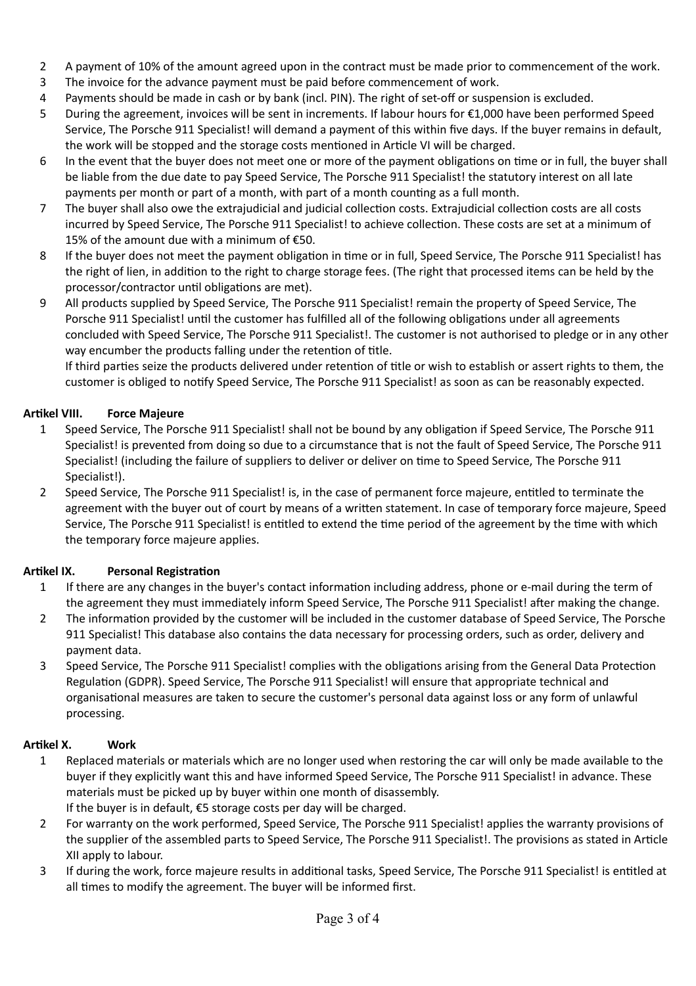- 2 A payment of 10% of the amount agreed upon in the contract must be made prior to commencement of the work.
- 3 The invoice for the advance payment must be paid before commencement of work.
- 4 Payments should be made in cash or by bank (incl. PIN). The right of set-off or suspension is excluded.
- 5 During the agreement, invoices will be sent in increments. If labour hours for €1,000 have been performed Speed Service, The Porsche 911 Specialist! will demand a payment of this within five days. If the buyer remains in default, the work will be stopped and the storage costs mentioned in Article VI will be charged.
- 6 In the event that the buyer does not meet one or more of the payment obligations on time or in full, the buyer shall be liable from the due date to pay Speed Service, The Porsche 911 Specialist! the statutory interest on all late payments per month or part of a month, with part of a month counting as a full month.
- 7 The buyer shall also owe the extrajudicial and judicial collection costs. Extrajudicial collection costs are all costs incurred by Speed Service, The Porsche 911 Specialist! to achieve collection. These costs are set at a minimum of 15% of the amount due with a minimum of €50.
- 8 If the buyer does not meet the payment obligation in time or in full, Speed Service, The Porsche 911 Specialist! has the right of lien, in addition to the right to charge storage fees. (The right that processed items can be held by the processor/contractor until obligations are met).
- 9 All products supplied by Speed Service, The Porsche 911 Specialist! remain the property of Speed Service, The Porsche 911 Specialist! until the customer has fulfilled all of the following obligations under all agreements concluded with Speed Service, The Porsche 911 Specialist!. The customer is not authorised to pledge or in any other way encumber the products falling under the retention of title.

If third parties seize the products delivered under retention of title or wish to establish or assert rights to them, the customer is obliged to notify Speed Service, The Porsche 911 Specialist! as soon as can be reasonably expected.

# **Arkel VIII. Force Majeure**

- 1 Speed Service, The Porsche 911 Specialist! shall not be bound by any obligation if Speed Service, The Porsche 911 Specialist! is prevented from doing so due to a circumstance that is not the fault of Speed Service, The Porsche 911 Specialist! (including the failure of suppliers to deliver or deliver on time to Speed Service, The Porsche 911 Specialist!).
- 2 Speed Service, The Porsche 911 Specialist! is, in the case of permanent force majeure, entitled to terminate the agreement with the buyer out of court by means of a written statement. In case of temporary force majeure, Speed Service, The Porsche 911 Specialist! is entitled to extend the time period of the agreement by the time with which the temporary force majeure applies.

# **Artikel IX.** Personal Registration

- 1 If there are any changes in the buyer's contact information including address, phone or e-mail during the term of the agreement they must immediately inform Speed Service, The Porsche 911 Specialist! after making the change.
- 2 The information provided by the customer will be included in the customer database of Speed Service, The Porsche 911 Specialist! This database also contains the data necessary for processing orders, such as order, delivery and payment data.
- 3 Speed Service, The Porsche 911 Specialist! complies with the obligations arising from the General Data Protection Regulation (GDPR). Speed Service, The Porsche 911 Specialist! will ensure that appropriate technical and organisational measures are taken to secure the customer's personal data against loss or any form of unlawful processing.

## **Arkel X. Work**

- 1 Replaced materials or materials which are no longer used when restoring the car will only be made available to the buyer if they explicitly want this and have informed Speed Service, The Porsche 911 Specialist! in advance. These materials must be picked up by buyer within one month of disassembly. If the buyer is in default,  $€5$  storage costs per day will be charged.
- 2 For warranty on the work performed, Speed Service, The Porsche 911 Specialist! applies the warranty provisions of the supplier of the assembled parts to Speed Service, The Porsche 911 Specialist!. The provisions as stated in Article XII apply to labour.
- 3 If during the work, force majeure results in additional tasks, Speed Service, The Porsche 911 Specialist! is entitled at all times to modify the agreement. The buyer will be informed first.